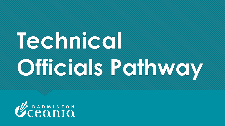# **Technical Officials Pathway**

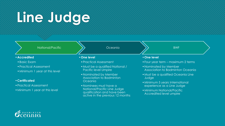## **Line Judge**

#### National/Pacific

#### •**Accredited**

- •Basic Exam
- •Practical Assessment
- •Minimum 1 year at this level

#### •**Certificated**

- •Practical Assessment
- Minimum 1 year at this level

#### Oceania

#### •**One level**

- •Practical Assessment
- •Must be a qualified National / Pacific level Umpire
- •Nominated by Member Association to Badminton **Oceania**
- •Nominees must have a National/Pacific Line Judge qualification and have been active in the previous 12 months

BWF

#### •**One level**

- •Four year term maximum 2 terms
- •Nominated by Member Association to Badminton Oceania
- •Must be a qualified Oceania Line Judge
- •Minimum 5 years International experience as a Line Judge
- •Minimum National/Pacific Accredited level umpire

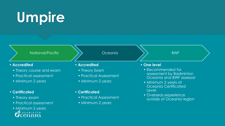### **Umpire**

| National/Pacific' |
|-------------------|
|-------------------|

- **Accredited**
	- Theory course and exam
	- Practical assessment
	- Minimum 2 years

#### • **Certificated**

- Theory exam
- Practical assessment
- Minimum 2 years<br> *Uceania*
- **Accredited**
- Theory Exam
- Practical Assessment

Oceania

- Minimum 2 years
- **Certificated**
	- Practical Assessment
	- Minimum 2 years

#### • **One level**

• Recommended for assessment by Badminton Oceania and BWF assessor

BWF

- Minimum 2 years at Oceania Certificated Level
- Overseas experience outside of Oceania region